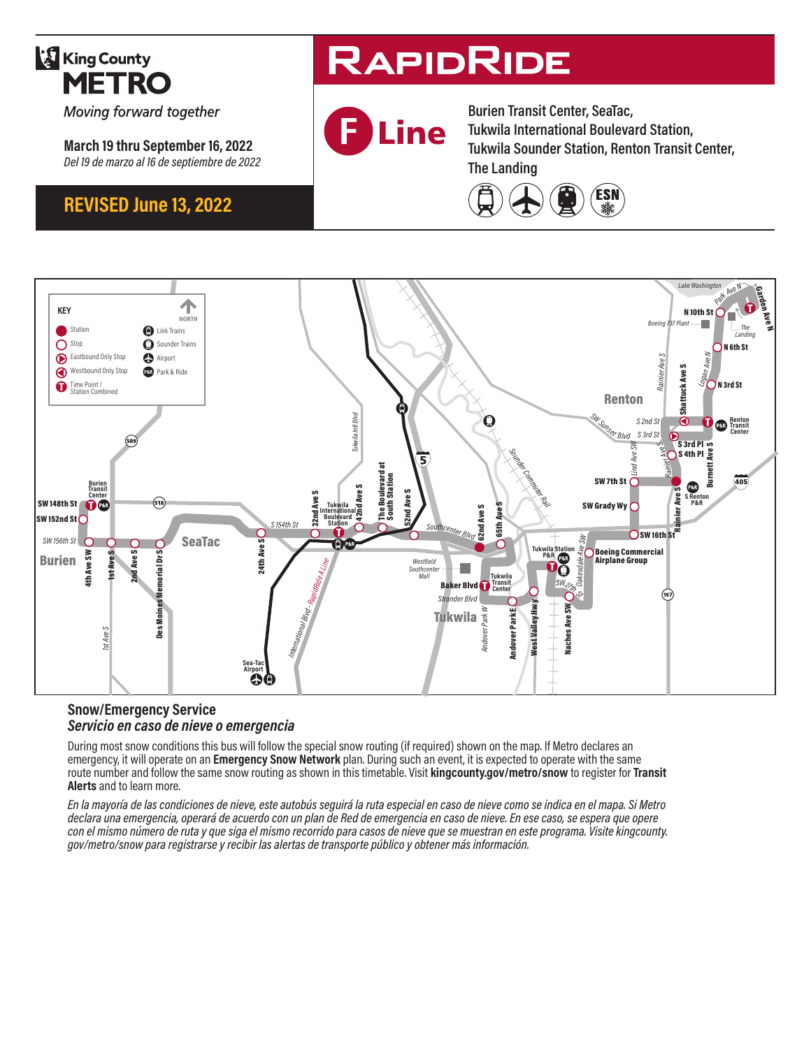

Moving forward together

**March 19 thru September 16, 2022** *Del 19 de marzo al 16 de septiembre de 2022*

## **REVISED June 13, 2022**

# **RAPIDRIDE**



**Burien Transit Center, SeaTac, Tukwila International Boulevard Station, Tukwila Sounder Station, Renton Transit Center, The Landing**





#### **Snow/Emergency Service**  *Servicio en caso de nieve o emergencia*

During most snow conditions this bus will follow the special snow routing (if required) shown on the map. If Metro declares an emergency, it will operate on an **Emergency Snow Network** plan. During such an event, it is expected to operate with the same route number and follow the same snow routing as shown in this timetable. Visit **kingcounty.gov/metro/snow** to register for **Transit Alerts** and to learn more.

*En la mayoría de las condiciones de nieve, este autobús seguirá la ruta especial en caso de nieve como se indica en el mapa. Si Metro declara una emergencia, operará de acuerdo con un plan de Red de emergencia en caso de nieve. En ese caso, se espera que opere con el mismo número de ruta y que siga el mismo recorrido para casos de nieve que se muestran en este programa. Visite kingcounty. gov/metro/snow para registrarse y recibir las alertas de transporte público y obtener más información.*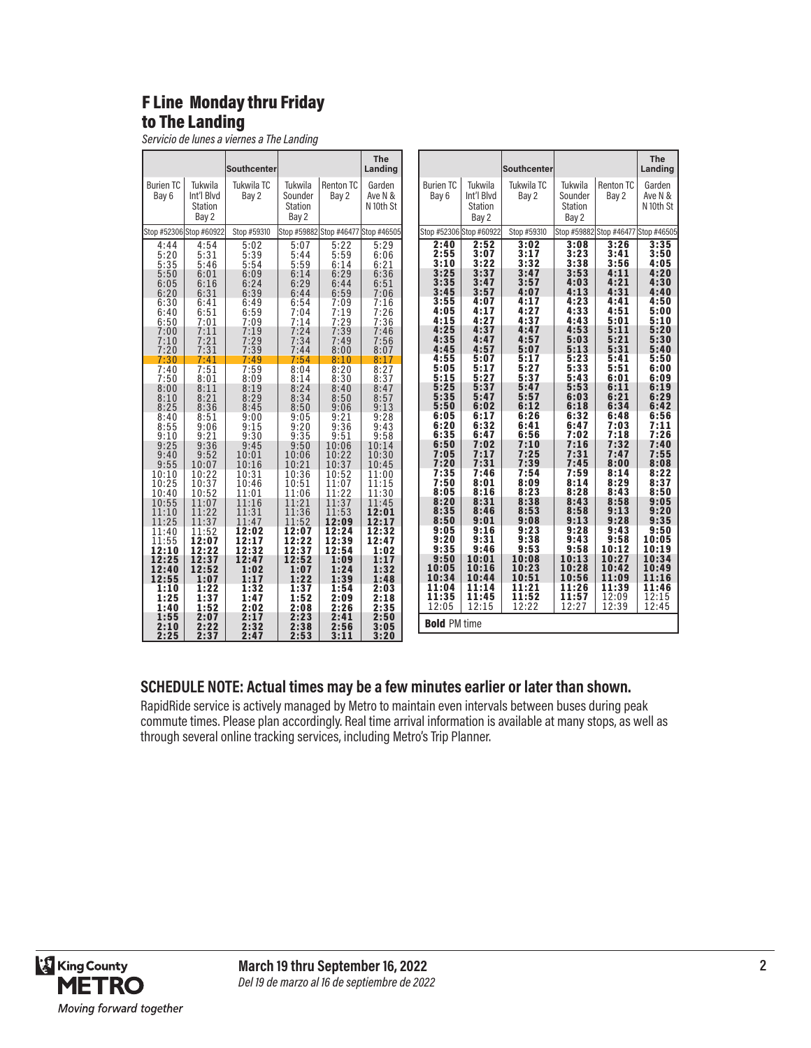### F Line Monday thru Friday to The Landing

*Servicio de lunes a viernes a The Landing*

|                                    |                                           | <b>Southcenter</b>                                                                                           |                                                |                                                                                                                                         | <b>The</b><br>Landing                                          |                              |                                              | <b>Southcenter</b>                             |                                               |                                     | <b>The</b><br>Landing          |
|------------------------------------|-------------------------------------------|--------------------------------------------------------------------------------------------------------------|------------------------------------------------|-----------------------------------------------------------------------------------------------------------------------------------------|----------------------------------------------------------------|------------------------------|----------------------------------------------|------------------------------------------------|-----------------------------------------------|-------------------------------------|--------------------------------|
| <b>Burien TC</b><br>Bay 6          | Tukwila<br>Int'l Blvd<br>Station<br>Bay 2 | Tukwila TC<br>Bay 2                                                                                          | Tukwila<br>Sounder<br>Station<br>Bay 2         | <b>Renton TC</b><br>Bay 2                                                                                                               | Garden<br>Ave N &<br>N 10th St                                 | <b>Burien TC</b><br>Bay 6    | Tukwila<br>Int'l Blvd<br>Station<br>Bay 2    | Tukwila TC<br>Bay 2                            | Tukwila<br>Sounder<br><b>Station</b><br>Bay 2 | <b>Renton TC</b><br>Bay 2           | Garden<br>Ave N &<br>N 10th St |
|                                    | Stop #52306 Stop #60922                   | Stop #59310                                                                                                  |                                                | Stop #59882 Stop #46477 Stop #46505                                                                                                     |                                                                | Stop #52306 Stop #60922      |                                              | Stop #59310                                    |                                               | Stop #59882 Stop #46477 Stop #46505 |                                |
| 4:44<br>5:20<br>5:35<br>5:50       | 4:54<br>5:31<br>5:46<br>6:01              | 5:02<br>$\frac{5:39}{5:54}$                                                                                  | 5:07<br>5:44<br>5:59<br>6:14                   | 5:22<br>5:59<br>6:14                                                                                                                    | 5:29<br>6:06<br>6:21<br>6:36                                   | 2:40<br>2:55<br>3:10<br>3:25 | 2:52<br>3:07<br>3:22<br>3:37                 | 3:02<br>3:17<br>3:32                           | 3:08<br>3:23<br>3:38<br>3:53                  | 3:26<br>3:41<br>3:56<br>4:11        | 3:35<br>3:50<br>4:05<br>4:20   |
| 6:05<br>6:20                       | 6:16<br>6:31                              |                                                                                                              | 6:29<br>6:44                                   | $6:29$<br>$6:44$<br>6:59                                                                                                                | 6:51<br>7:06                                                   | 3:35<br>3:45                 | $3:47$<br>$3:57$                             | $3:47$<br>$3:57$<br>4:07                       | 4:03<br>4:13                                  | 4:21<br>4:31                        | 4:30<br>4:40                   |
| 6:30                               | 6:41<br>6:51                              | 6:09<br>6:24<br>6:39<br>6:49<br>6:59<br>6:59<br>7:09<br>7:19<br>7:29<br>7:39                                 | 6:54<br>$\frac{7:04}{7:14}$                    | 7:09<br>7:19<br>7:29<br>7:39                                                                                                            | 7:16<br>7:26<br>7:36<br>7:46                                   | 3:55<br>4:05                 | 4:07<br>4:17                                 | 4:17<br>4:27                                   | 4:23<br>4:33                                  | 4:41<br>4:51                        | 4:50<br>5:00                   |
| $6:40$<br>$6:50$<br>$7:00$<br>7:10 | 7:01<br>7:11<br>7:21                      |                                                                                                              | 7:24<br>7:34                                   |                                                                                                                                         | 7:56                                                           | 4:15<br>4:25<br>4:35         | 4:27<br>4:37<br>4:47                         | 4:37<br>4:47<br>4:57                           | 4:43<br>4:53<br>5:03                          | 5:01<br>5:11<br>5:21                | 5:10<br>5:20<br>5:30           |
| 7:20                               | 7:31                                      |                                                                                                              | 7:44                                           | $7:49$<br>$8:00$                                                                                                                        | 8:07                                                           | 4:45                         | 4:57                                         | 5:07                                           | 5:13                                          | 5:31                                | 5:40                           |
| 7:30<br>7:40                       | 7:41<br>7:51                              |                                                                                                              | 7:54<br>8:04                                   | 8:10<br>$8:20$<br>$8:30$                                                                                                                | 8:17<br>$8:27$<br>$8:37$                                       | 4:55<br>5:05                 | 5:07<br>$5:17$<br>$5:27$<br>$5:37$<br>$5:47$ | 5:17                                           | 5:23<br>5:33                                  | 5:41<br>5:51                        | 5:50<br>6:00                   |
| 7:50<br>8:00                       | 8:01<br>8:11                              |                                                                                                              | 8:14<br>8:24                                   |                                                                                                                                         | 8:47                                                           | 5:15<br>5:25                 |                                              |                                                | 5:43<br>5:53                                  | 6:01<br>6:11                        | 6:09                           |
| $8:10$<br>$8:25$                   | $\frac{8:21}{8:36}$                       |                                                                                                              | 8:34<br>8:50                                   | $8:40$<br>$8:50$                                                                                                                        | 8:57                                                           | 5:35<br>5:50                 | 6:02                                         | $5:27$<br>$5:37$<br>$5:47$<br>$5:57$<br>$6:12$ | 6:03<br>6:18                                  | 6:21<br>6:34                        | $6:19$<br>$6:29$<br>6:42       |
| $8:40$<br>$8:55$                   | $8:51$<br>$9:06$                          | $77.49$<br>$7.39$<br>$3.69$<br>$3.29$<br>$3.29$<br>$3.45$<br>$9.15$<br>$9.30$<br>$9.30$<br>$9.45$<br>$10.16$ | $9:05$<br>$9:20$                               | $9:06$<br>$9:21$<br>$9:36$<br>$9:51$                                                                                                    | $9:13$<br>$9:28$<br>$9:43$                                     | 6:05<br>6:20                 | 6:17<br>6:32                                 | 6:26                                           | 6:32<br>6:47                                  | 6:48<br>7:03                        | 6:56<br>7:11                   |
| $\frac{9:10}{9:25}$                | 9:21                                      |                                                                                                              | 9:35                                           |                                                                                                                                         |                                                                | 6:35                         | 6:47                                         | $6:41$<br>$6:56$<br>$7:10$                     | 7:02                                          | 7:18                                | 7:26                           |
| $9:40$<br>$9:55$                   | 9:36<br>9:52                              |                                                                                                              | 9:50<br>10:06                                  | $\begin{array}{r} 10:06 \\ 10:22 \\ 10:37 \\ 10:52 \\ 11:07 \\ \end{array}$                                                             | $9:58$<br>$10:14$<br>$10:30$                                   | 6:50<br>7:05<br>7:20         | 7:02<br>7:17                                 | 7:25                                           | 7:16<br>7:31<br>7:45                          | 7:32<br>7:47<br>8:00                | 7:40<br>7:55<br>8:08           |
|                                    | 10:07<br>10:22                            | $\frac{10:16}{10:31}$                                                                                        | 10:21<br>10:36                                 |                                                                                                                                         | 10:45                                                          |                              | 7:31                                         |                                                | 7:59                                          | 8:14                                | 8:22                           |
| $\frac{10:10}{10:25}$<br>10:40     | 10:37<br>10:52                            | 10:46                                                                                                        | 10:51                                          |                                                                                                                                         |                                                                | $7:35$<br>$7:50$<br>8:05     | $7:46$<br>8:01<br>8:16                       | $7:39$<br>$7:54$<br>$8:09$<br>$8:23$           | 8:14<br>8:28                                  | 8:29<br>8:43                        | 8:37<br>8:50                   |
| 10:55                              | $\frac{11:07}{11:22}$<br>$11:37$          | $11:01$<br>$11:16$<br>$11:31$<br>$11:47$                                                                     | $\frac{11:06}{11:21}$<br>$\frac{11:36}{11:56}$ |                                                                                                                                         | $11:00$<br>$11:15$<br>$11:30$<br>$11:45$<br>$12:01$<br>$12:17$ | 8:20<br>8:35                 | 8:31<br>8:46                                 | 8:38<br>8:53                                   | 8:43<br>8:58                                  | 8:58<br>9:13                        | 9:05<br>9:20                   |
| $\frac{11:10}{11:25}$              |                                           |                                                                                                              | 11:52                                          |                                                                                                                                         |                                                                | 8:50                         | $9:01$<br>$9:16$                             | $9:08$<br>$9:23$                               | 9:13                                          | 9:28                                | 9:35                           |
| $\frac{11:40}{11:55}$<br>12:10     | $\frac{11:52}{12:07}$<br>12:22            | $\overline{12:02}\atop{12:17}\atop{12:32}$                                                                   | $\overline{12:07}_{12:22}$<br>12:37            | $\begin{array}{c} 11.07 \\ 11.22 \\ 11.37 \\ 11.53 \\ \textbf{12:09} \\ \textbf{12:24} \\ \textbf{12:39} \\ \textbf{12:54} \end{array}$ | 12:32<br>12:47                                                 | 9:05<br>9:20<br>9:35         | $9:31$<br>$9:46$                             | $9:38$<br>$9:53$                               | 9:28<br>9:43<br>9:58                          | 9:43<br>9:58<br>10:12               | 9:50<br>10:05<br>10:19         |
| 12:25                              | 12:37                                     | 12:47                                                                                                        | 12:52                                          | $1:09$<br>$1:24$                                                                                                                        | 1:02<br>1:17                                                   | 9:50                         | 10:01                                        | 10:08                                          | 10:13                                         | 10:27                               | 10:34                          |
| 12:40<br>12:55                     | 12:52<br>1:07                             | 1:02                                                                                                         | 1:07<br>1:22                                   | 1:39                                                                                                                                    | 1:32<br>1:48                                                   | 10:05<br>10:34               | $10:16$<br>$10:44$                           | $10:23$<br>$10:51$<br>$11:21$                  | 10:28<br>10:56                                | 10:42<br>11:09                      | 10:49<br>11:16                 |
| 1:10                               | 1:22                                      | $1:17$<br>$1:32$                                                                                             | 1:37                                           | 1:54                                                                                                                                    | 2:03                                                           | 11:04                        | 11:14                                        |                                                | 11:26                                         | 11:39                               | 11:46                          |
| 1:25<br>1:40                       | $\frac{1:37}{1:52}$                       | $\frac{1:47}{2:02}$<br>2:17                                                                                  | 1:52<br>2:08                                   | 2:09<br>2:26<br>2:41                                                                                                                    | 2:18                                                           | 11:35<br>12:05               | 11:45<br>12:15                               | 11:52<br>12:22                                 | 11:57<br>12:27                                | 12:09<br>12:39                      | 12:15<br>12:45                 |
| 1:55                               | 2:07                                      |                                                                                                              | 2:23                                           |                                                                                                                                         | $2:35$<br>$2:50$                                               | <b>Bold PM time</b>          |                                              |                                                |                                               |                                     |                                |
| 2:10<br>2:25                       | 2:22<br>2:37                              | 2:32<br>2:47                                                                                                 | 2:38<br>2:53                                   | 2:56<br>3:11                                                                                                                            | 3:05<br>3:20                                                   |                              |                                              |                                                |                                               |                                     |                                |

#### **SCHEDULE NOTE: Actual times may be a few minutes earlier or later than shown.**

RapidRide service is actively managed by Metro to maintain even intervals between buses during peak commute times. Please plan accordingly. Real time arrival information is available at many stops, as well as through several online tracking services, including Metro's Trip Planner.

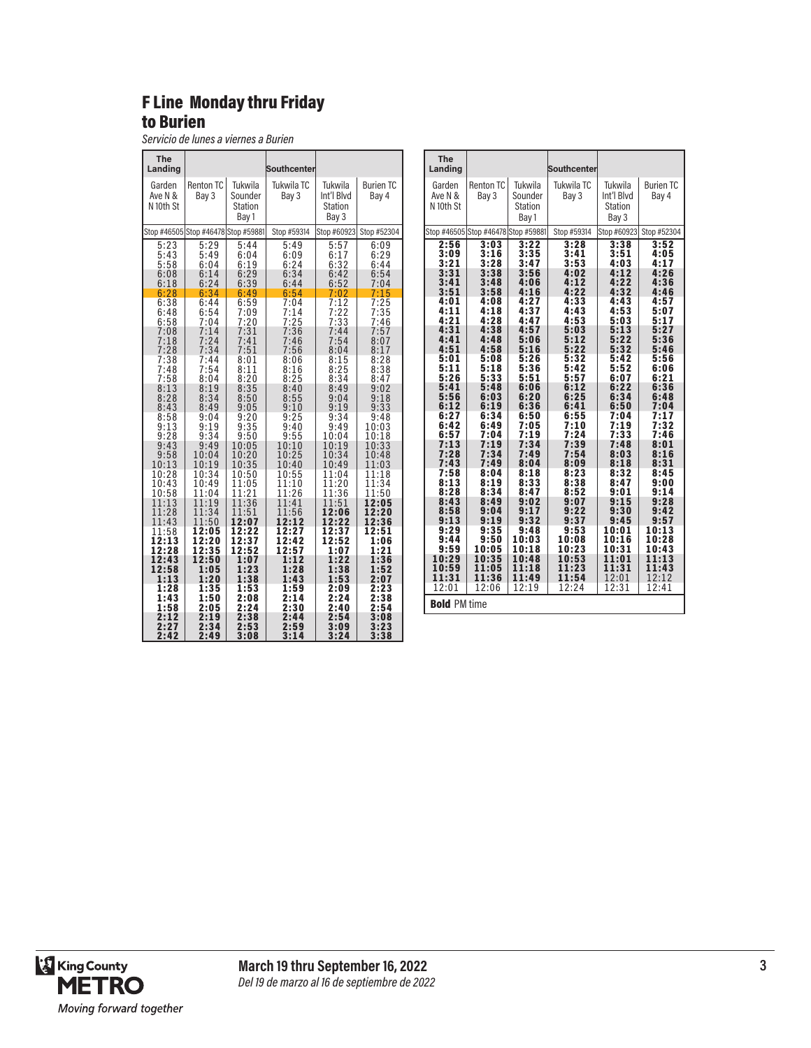#### F Line Monday thru Friday to Burien

*Servicio de lunes a viernes a Burien*

| The<br>Landing                 |                                     |                                               | Southcenter              |                                                  |                           | The<br>Landing                      |                      |                                        | Southcenter          |                                                  |                           |
|--------------------------------|-------------------------------------|-----------------------------------------------|--------------------------|--------------------------------------------------|---------------------------|-------------------------------------|----------------------|----------------------------------------|----------------------|--------------------------------------------------|---------------------------|
| Garden<br>Ave N &<br>N 10th St | <b>Renton TC</b><br>Bay 3           | Tukwila<br>Sounder<br><b>Station</b><br>Bay 1 | Tukwila TC<br>Bay 3      | Tukwila<br>Int'l Blvd<br><b>Station</b><br>Bay 3 | <b>Burien TC</b><br>Bay 4 | Garden<br>Ave N &<br>N 10th St      | Renton TC<br>Bay 3   | Tukwila<br>Sounder<br>Station<br>Bay 1 | Tukwila TC<br>Bay 3  | Tukwila<br>Int'l Blvd<br><b>Station</b><br>Bay 3 | <b>Burien TC</b><br>Bay 4 |
|                                | Stop #46505 Stop #46478 Stop #59881 |                                               | Stop #59314              |                                                  | Stop #60923 Stop #52304   | Stop #46505 Stop #46478 Stop #59881 |                      |                                        | Stop #59314          | Stop #60923                                      | Stop #52304               |
| 5:23                           | 5:29                                | 5:44                                          | 5:49                     | 5:57                                             | 6:09                      | 2:56                                | 3:03                 | 3:22                                   | 3:28                 | 3:38                                             | 3:52                      |
| 5:43                           | 5:49                                | 6:04                                          | 6:09                     | 6:17                                             | 6:29                      | 3:09                                | 3:16                 | 3:35                                   | 3:41                 | 3:51                                             | 4:05                      |
| 5:58                           | 6:04                                | 6:19                                          | 6:24                     | 6:32                                             | 6:44                      | 3:21                                | 3:28                 | 3:47                                   | 3:53                 | 4:03                                             | 4:17                      |
| 6:08                           | 6:14                                | 6:29                                          | 6:34                     | 6:42                                             | 6:54                      | 3:31                                | 3:38                 | 3:56                                   | 4:02                 | 4:12                                             | 4:26                      |
| 6:18                           | 6:24                                | 6:39                                          | 6:44                     | 6:52                                             | 7:04                      | 3:41                                | 3:48                 | 4:06                                   | 4:12                 | 4:22                                             | 4:36                      |
| 6:28                           | 6:34                                | 6:49                                          | 6:54                     | 7:02                                             | 7:15                      | 3:51                                | 3:58                 | 4:16                                   | 4:22                 | 4:32                                             | 4:46                      |
| 6:38<br>6:48<br>6:58           | 6:44<br>6:54<br>7:04                | 6:59<br>7:09<br>7:20                          | $7:04$<br>$7:14$<br>7:25 | $7:12$<br>$7:22$<br>7:33                         | 7:25<br>7:35<br>7:46      | 4:01<br>4:11<br>4:21                | 4:08<br>4:18<br>4:28 | 4:27<br>4:37<br>4:47                   | 4:33<br>4:43<br>4:53 | 4:43<br>4:53<br>5:03                             | 4:57<br>5:07<br>5:17      |
| 7:08                           | 7:14                                | 7:31                                          | 7:36                     | 7:44                                             | 7:57                      | 4:31                                | 4:38                 | 4:57                                   | 5:03                 | 5:13                                             | 5:27                      |
| 7:18                           | 7:24                                | 7:41                                          | 7:46                     | 7:54                                             | 8:07                      | 4:41                                | 4:48                 | 5:06                                   | 5:12                 | 5:22                                             | 5:36                      |
| 7:28                           | 7:34                                | 7:51                                          | 7:56                     | 8:04                                             | 8:17                      | 4:51                                | 4:58                 | 5:16                                   | 5:22                 | 5:32                                             | 5:46                      |
| 7:38                           | 7:44                                | 8:01                                          | 8:06                     | 8:15                                             | 8:28                      | 5:01                                | 5:08                 | 5:26                                   | 5:32                 | 5:42                                             | 5:56                      |
| 7:48                           | 7:54                                | 8:11                                          | 8:16                     | 8:25                                             | 8:38                      | 5:11                                | 5:18                 | 5:36                                   | 5:42                 | 5:52                                             | 6:06                      |
| 7:58                           | 8:04                                | 8:20                                          | 8:25                     | 8:34                                             | 8:47                      | 5:26                                | 5:33                 | 5:51                                   | 5:57                 | 6:07                                             | 6:21                      |
| 8:13                           | 8:19                                | 8:35                                          | 8:40                     | 8:49                                             | 9:02                      | 5:41                                | 5:48                 | 6:06                                   | 6:12                 | 6:22                                             | 6:36                      |
| 8:28                           | 8:34                                | 8:50                                          | 8:55                     | 9:04                                             | 9:18                      | 5:56                                | 6:03                 | 6:20                                   | 6:25                 | 6:34                                             | 6:48                      |
| 8:43                           | 8:49                                | 9:05                                          | 9:10                     | 9:19                                             | 9:33                      | 6:12                                | 6:19                 | 6:36                                   | 6:41                 | 6:50                                             | 7:04                      |
| 8:58<br>9:13<br>9:28           | 9:04<br>9:19<br>9:34                | 9:20<br>9:35<br>9:50                          | 9:25<br>9:40<br>9:55     | 9:34<br>9:49<br>10:04                            | 9:48<br>10:03<br>10:18    | 6:27<br>6:42<br>6:57                | 6:34<br>6:49<br>7:04 | 6:50<br>7:05<br>7:19                   | 6:55<br>7:10<br>7:24 | 7:04<br>7:19<br>7:33                             | $7:17$<br>$7:32$<br>7:46  |
| 9:43                           | 9:49                                | 10:05                                         | 10:10                    | 10:19                                            | 10:33                     | 7:13                                | 7:19                 | 7:34                                   | 7:39                 | 7:48                                             | 8:01                      |
| 9:58                           | 10:04                               | 10:20                                         | 10:25                    | 10:34                                            | 10:48                     | 7:28                                | 7:34                 | 7:49                                   | 7:54                 | 8:03                                             | 8:16                      |
| 10:13                          | 10:19                               | 10:35                                         | 10:40                    | 10:49                                            | 11:03                     | 7:43                                | 7:49                 | 8:04                                   | 8:09                 | 8:18                                             | 8:31                      |
| 10:28                          | 10:34                               | 10:50                                         | 10:55                    | 11:04                                            | 11:18                     | 7:58                                | 8:04                 | 8:18                                   | 8:23                 | 8:32                                             | 8:45                      |
| 10:43                          | 10:49                               | 11:05                                         | 11:10                    | 11:20                                            | 11:34                     | 8:13                                | 8:19                 | 8:33                                   | 8:38                 | 8:47                                             | 9:00                      |
| 10:58                          | 11:04                               | 11:21                                         | 11:26                    | 11:36                                            | 11:50                     | 8:28                                | 8:34                 | 8:47                                   | 8:52                 | 9:01                                             | 9:14                      |
| 11:13                          | 11:19                               | 11:36                                         | 11:41                    | 11:51                                            | 12:05                     | 8:43                                | 8:49                 | 9:02                                   | 9:07                 | 9:15                                             | 9:28                      |
| 11:28                          | 11:34                               | 11:51                                         | 11:56                    | 12:06                                            | 12:20                     | 8:58                                | 9:04                 | 9:17                                   | 9:22                 | 9:30                                             | 9:42                      |
| 11:43                          | 11:50                               | 12:07                                         | 12:12                    | 12:22                                            | 12:36                     | 9:13                                | 9:19                 | 9:32                                   | 9:37                 | 9:45                                             | 9:57                      |
| 11:58                          | 12:05                               | 12:22                                         | 12:27                    | 12:37                                            | 12:51                     | 9:29                                | 9:35                 | 9:48                                   | 9:53                 | 10:01                                            | 10:13                     |
| 12:13                          | 12:20                               | 12:37                                         | 12:42                    | 12:52                                            | 1:06                      | 9:44                                | 9:50                 | 10:03                                  | 10:08                | 10:16                                            | 10:28                     |
| 12:28                          | 12:35                               | 12:52                                         | 12:57                    | 1:07                                             | 1:21                      | 9:59                                | 10:05                | 10:18                                  | 10:23                | 10:31                                            | 10:43                     |
| 12:43                          | 12:50                               | 1:07                                          | 1:12                     | 1:22                                             | 1:36                      | 10:29                               | 10:35                | 10:48                                  | 10:53                | 11:01                                            | 11:13                     |
| 12:58                          | 1:05                                | 1:23                                          | 1:28                     | 1:38                                             | 1:52                      | 10:59                               | 11:05                | 11:18                                  | 11:23                | 11:31                                            | 11:43                     |
| 1:13                           | 1:20                                | 1:38                                          | 1:43                     | 1:53                                             | 2:07                      | 11:31                               | 11:36                | 11:49                                  | 11:54                | 12:01                                            | 12:12                     |
| 1:28<br>1:43<br>1:58           | 1:35<br>1:50<br>2:05                | 1:53<br>2:08<br>2:24                          | 1:59<br>2:14<br>2:30     | 2:09<br>2:24<br>2:40                             | 2:23<br>2:38<br>2:54      | 12:01<br><b>Bold PM time</b>        | 12:06                | 12:19                                  | 12:24                | 12:31                                            | 12:41                     |
| 2:12                           | 2:19                                | 2:38                                          | 2:44                     | 2:54                                             | 3:08                      |                                     |                      |                                        |                      |                                                  |                           |
| 2:27<br>2:42                   | 2:34<br>2:49                        | 2:53<br>3:08                                  | 2:59<br>3:14             | 3:09<br>3:24                                     | 3:23<br>3:38              |                                     |                      |                                        |                      |                                                  |                           |

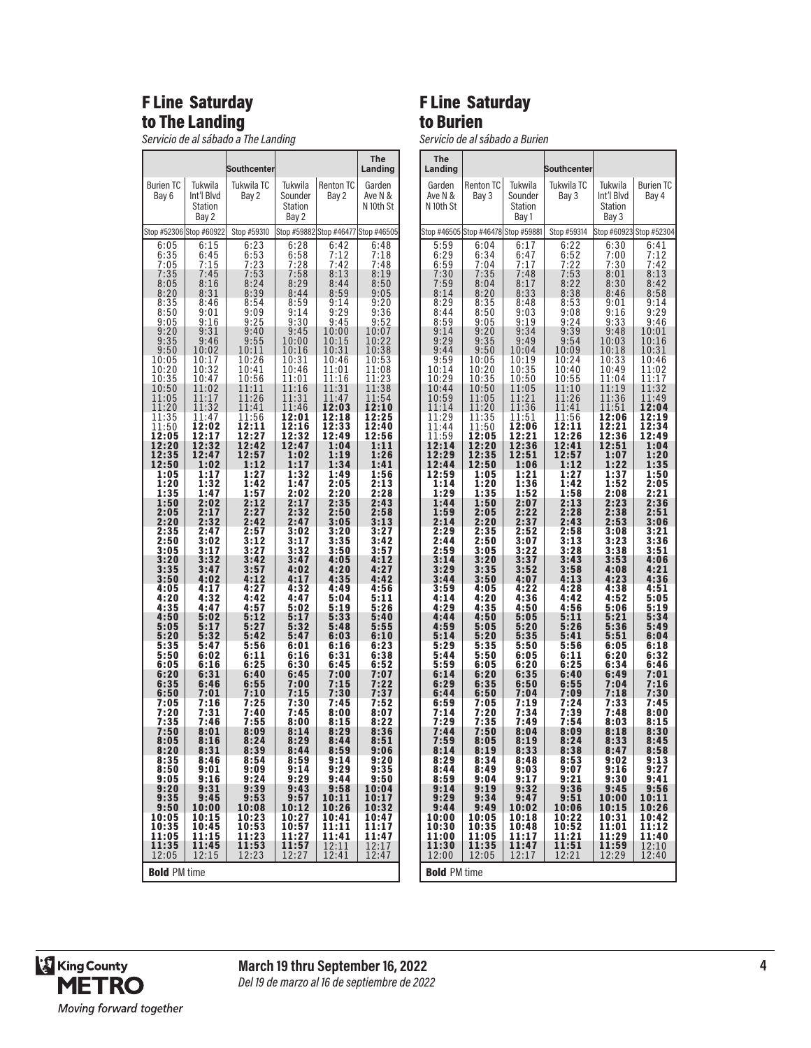#### F Line Saturday to The Landing

*Servicio de al sábado a The Landing*

|                                  |                                           | Southcenter                          |                                        |                                         | The<br>Landing                       |
|----------------------------------|-------------------------------------------|--------------------------------------|----------------------------------------|-----------------------------------------|--------------------------------------|
| <b>Burien TC</b><br>Bay 6        | Tukwila<br>Int'l Blvd<br>Station<br>Bay 2 | Tukwila TC<br>Bay 2                  | Tukwila<br>Sounder<br>Station<br>Bay 2 | <b>Renton TC</b><br>Bay 2               | Garden<br>Ave N &<br>N 10th St       |
|                                  | Stop #52306 Stop #60922                   | Stop #59310                          |                                        |                                         | Stop #59882 Stop #46477 Stop #46505  |
| 6:05                             | 6:15                                      | 6:23                                 | 6:28                                   | 6:42                                    | 6:48                                 |
| 6:35                             | 6:45                                      | 6:53                                 | 6:58                                   | 7:12                                    | 7:18                                 |
| 7:05                             | 7:15                                      | 7:23                                 | 7:28                                   | 7:42                                    | 7:48                                 |
| $7:35$<br>$8:05$<br>8:20<br>8:35 | 7:45<br>8:16<br>8:31<br>8:46              | $7:53$<br>$8:24$<br>8:39<br>8:54     | $7:58$<br>8:29<br>8:44<br>8:59         | 8:13<br>8:44<br>8:59<br>9:14            | 8:19<br>8:50<br>9:05<br>9:20         |
| 8:50                             | 9:01                                      | 9:09                                 | 9:14                                   | 9:29                                    | 9:36                                 |
| 9:05                             | 9:16                                      | 9:25                                 | 9:30                                   | 9:45                                    | 9:52                                 |
| 9:20                             | 9:31                                      | 9:40                                 | 9:45                                   | 10:00                                   | 10:07                                |
| 9:35                             | 9:46                                      | 9:55                                 | 10:00                                  | 10:15                                   | 10:22                                |
| 9:50                             | 10:02                                     | 10:11                                | 10:16                                  | 10:31                                   | 10:38                                |
| 10:05                            | 10:17                                     | 10:26                                | 10:31                                  | 10:46                                   | 10:53                                |
| 10:20                            | 10:32                                     | 10:41                                | 10:46                                  | 11:01                                   | 11:08                                |
| 10.35<br>10:50<br>11:05<br>11:20 | 10:47<br>11:02<br>11:17<br>11:32          | 10:56<br>1:11<br>1<br>11:26<br>11:41 | 11:01<br>11:16<br>11:31<br>11:46       | 1:16<br>1<br>11:31<br>11:47<br>12:03    | 1:23<br>1<br>11:38<br>11:54<br>12:10 |
| 11:35                            | 11:47                                     | 11:56                                | 12:01                                  | 12:18                                   | 12:25                                |
| 11:50                            | 12:02                                     | 12:11                                | $\bar{1}\bar{2}:16$                    | $\overline{1}\overline{2}:33$           | 12:40                                |
| 12:05                            | 12:17                                     | 12:27                                | 12:32                                  | 12:49                                   | 12:56                                |
| 12:20                            | 12:32                                     | 12:42                                | 12:47                                  | 1:04                                    | 1:11                                 |
| 12:35                            | 12:47                                     | 12:57                                | 1:02                                   | 1:19                                    | 1:26                                 |
| 12:50                            | 1:02                                      | 1:12                                 | 1:17                                   | 1:34                                    | 1:41                                 |
| 1:05                             | 1:17                                      | 1:27                                 | 1:32                                   | 1:49                                    | 1:56                                 |
| 1:20                             | 1:32                                      | 1:42                                 | 1:47                                   | 2:05                                    | 2:13                                 |
| 1:35                             | 1:47                                      | 1:57                                 | 2:02                                   | 2:20                                    | 2:28                                 |
| 1:50                             | 2:02                                      | 2:12                                 | 2:17                                   | 2:35                                    | 2:43                                 |
| 2:05                             | 2:17                                      | 2:27                                 | 2:32                                   | 2:50                                    | 2:58                                 |
| 2:20                             | 2:32                                      | 2:42                                 | 2:47                                   | 3:05                                    | 3:13                                 |
| 2:35                             | 2:47                                      | 2:57                                 | 3:02                                   | 3:20                                    | 3:27                                 |
| 2:50                             | 3:02                                      | 3:12                                 | 3:17                                   | 3:35                                    | 3:42                                 |
| 3:05                             | 3:17                                      | 3:27                                 | 3:32                                   | 3:50                                    | 3:57                                 |
| 3:20                             | 3:32                                      | 3:42                                 | 3:47                                   | 4:05                                    | 4:12                                 |
| 3:35                             | 3:47                                      | 3:57                                 | 4:02                                   | 4:20                                    | 4:27                                 |
| 3:50                             | 4:02                                      | 4:12                                 | 4:17                                   | 4:35                                    | 4:42                                 |
| 4:05                             | 4:17                                      | 4:27                                 | 4:32                                   | 4:49                                    | 4:56                                 |
| 4:20                             | 4:32                                      | 4:42                                 | 4:47                                   | 5:04                                    | 5:11                                 |
| 4:35                             | 4:47                                      | 4:57                                 | 5:02                                   | 5:19                                    | 5:26                                 |
| 4:50                             | 5:02                                      | 5:12                                 | 5:17                                   | 5:33                                    | 5:40                                 |
| 5:05                             | 5:17                                      | 5:27                                 | 5:32                                   | 5:48                                    | 5:55                                 |
| 5:20                             | 5:32                                      | 5:42                                 | 5:47                                   | 6:03                                    | 6:10                                 |
| 5:35                             | 5:47                                      | 5:56                                 | 6:01                                   | 6:16                                    | 6:23                                 |
| 5:50                             | 6:02                                      | 6:11                                 | 6:16                                   | 6:31                                    | 6:38                                 |
| 6:05                             | 6:16                                      | 6:25                                 | 6:30                                   | 6:45                                    | 6:52                                 |
| 6:20                             | 6:31                                      | 6:40                                 | 6:45                                   | 7:00                                    | 7:07                                 |
| 6:35                             | 6:46                                      | 6:55                                 | 7:00                                   | 7:15                                    | 7:22                                 |
| 6:50                             | 7:01                                      | 7:10                                 | 7:15                                   | 7:30                                    | 7:37                                 |
| 7:05                             | 7:16                                      | 7:25                                 | 7:30                                   | 7:45                                    | 7:52                                 |
| 7:20                             | 7:31                                      | 7:40                                 | 7:45                                   | 8:00                                    | 8:07                                 |
| 7:35                             | 7:46                                      | 7:55                                 | 8:00                                   | 8:15                                    | 8:22                                 |
| 7:50                             | 8:01                                      | 8:09                                 | 8:14                                   | 8:29                                    | 8:36                                 |
| 8:05                             | 8:16                                      | 8:24                                 | 8:29                                   | 8:44                                    | 8:51                                 |
| 8:20<br>8:35                     | 8:31                                      | 8:39                                 | 8:44                                   | 8:59                                    | 9:06                                 |
| 8:50<br>9:05<br>9:20             | 8:46<br>9:01<br>9:16<br>9:31              | 8:54<br>9:09<br>9:24<br>9:39         | 8:59<br>9:14<br>9:29<br>9:43           | 9:14<br>9:29<br>9:44<br>9:58            | 9:20<br>9:35<br>9:50<br>10:04        |
| 9:35                             | 9:45                                      | 9:53                                 | 9:57                                   | 10:11                                   | 10:17                                |
| 9:50                             | 10:00                                     | 10:08                                | 10:12                                  | 10:26                                   | 10:32                                |
| 10:05                            | 10:15                                     | 10:23                                | 10:27                                  | 10:41                                   | 10:47                                |
| 10:35<br>11:05<br>11:35<br>12:05 | 10:45<br>11:15<br>11:45<br>12:15          | 10:53<br>11:23<br>$11:53$<br>$12:23$ | 10:57<br>11:27<br>$11:57$<br>$12:27$   | 11:11<br>11:41<br>$\frac{12:11}{12:41}$ | 11:17<br>11:47<br>12:17<br>12:47     |
| <b>Bold PM time</b>              |                                           |                                      |                                        |                                         |                                      |

#### F Line Saturday to Burien

*Servicio de al sábado a Burien*

| <b>The</b><br>Landing                                                                                                                                                                                                                                                                                                                                |                                                                                                                                                                                                                                                                                                                                                      |                                                                                                                                                                                                                                                                                                                                                          | Southcenter                                                                                                                                                                                                                                                                                                                                             |                                                                                                                                                                                                                                                                                                                                                  |                                                                                                                                                                                                                                                                                                                                                  |
|------------------------------------------------------------------------------------------------------------------------------------------------------------------------------------------------------------------------------------------------------------------------------------------------------------------------------------------------------|------------------------------------------------------------------------------------------------------------------------------------------------------------------------------------------------------------------------------------------------------------------------------------------------------------------------------------------------------|----------------------------------------------------------------------------------------------------------------------------------------------------------------------------------------------------------------------------------------------------------------------------------------------------------------------------------------------------------|---------------------------------------------------------------------------------------------------------------------------------------------------------------------------------------------------------------------------------------------------------------------------------------------------------------------------------------------------------|--------------------------------------------------------------------------------------------------------------------------------------------------------------------------------------------------------------------------------------------------------------------------------------------------------------------------------------------------|--------------------------------------------------------------------------------------------------------------------------------------------------------------------------------------------------------------------------------------------------------------------------------------------------------------------------------------------------|
| Garden<br>Ave N &<br>N 10th St                                                                                                                                                                                                                                                                                                                       | <b>Renton TC</b><br>Bay 3                                                                                                                                                                                                                                                                                                                            | Tukwila<br>Sounder<br>Station<br>Bay 1                                                                                                                                                                                                                                                                                                                   | Tukwila TC<br>Bay 3                                                                                                                                                                                                                                                                                                                                     | Tukwila<br>Int'l Blvd<br><b>Station</b><br>Bay 3                                                                                                                                                                                                                                                                                                 | <b>Burien TC</b><br>Bay 4                                                                                                                                                                                                                                                                                                                        |
|                                                                                                                                                                                                                                                                                                                                                      | Stop #46505 Stop #46478 Stop #59881                                                                                                                                                                                                                                                                                                                  |                                                                                                                                                                                                                                                                                                                                                          | Stop #59314                                                                                                                                                                                                                                                                                                                                             |                                                                                                                                                                                                                                                                                                                                                  | Stop #60923 Stop #52304                                                                                                                                                                                                                                                                                                                          |
| 5:59<br>6:29<br>6:59<br>7:30<br>7:59<br>8:14<br>8:29<br>8:44<br>8:59<br>9:14<br>9:29<br>9:44<br>9:59<br>10:14<br>10:29<br>10:44<br>10:59<br>11:14<br>11:29<br>11:44<br>11:59<br>1<br>2:14<br>12:29<br>12:44<br>12:59<br>1:14<br>1:29<br>1:44<br>1:59<br>2:14<br>2:29<br>2:44<br>2:59<br>3:14<br>3:29<br>3:44<br>3:59<br>4:14<br>4:29<br>4:44<br>4:59 | 6:04<br>6:34<br>7:04<br>7:35<br>8:04<br>8:20<br>8:35<br>8:50<br>9:05<br>9:20<br>9:35<br>9:50<br>10:05<br>10:20<br>10:35<br>10:50<br>11:05<br>11:20<br>11:35<br>11:50<br>12:05<br>2:20<br>1<br>12:35<br>12:50<br>1:05<br>1:20<br>1:35<br>1:50<br>2:05<br>2:20<br>2:35<br>2:50<br>3:05<br>3:20<br>3:35<br>3:50<br>4:05<br>4:20<br>4:35<br>4:50<br>5:05 | 6:17<br>6:47<br>7:17<br>7:48<br>8:17<br>8:33<br>8:48<br>9:03<br>9:19<br>9:34<br>9:49<br>10:04<br>10:19<br>10:35<br>10:50<br>11:05<br>1:21<br>1<br>11:36<br>11:51<br>12:06<br>12:21<br>12:36<br>12:51<br>1:06<br>1:21<br>1:36<br>1:52<br>2:07<br>2:22<br>2:37<br>2:52<br>3:07<br>3:22<br>$3:37$<br>$3:52$<br>4:07<br>4:22<br>4:36<br>4:50<br>5:05<br>5:20 | 6:22<br>$\frac{6:52}{7:22}$<br>7:53<br>8:22<br>8:38<br>8:53<br>9:08<br>9:24<br>9:39<br>9:54<br>10:09<br>10:24<br>10:40<br>10:55<br>11:10<br>11:26<br>11:41<br>11:56<br>12:11<br>12:26<br>12:41<br>12:57<br>1:12<br>1:27<br>1:42<br>1:58<br>2:13<br>2:28<br>2:43<br>2:58<br>3:13<br>3:28<br>3:43<br>3:58<br>4:13<br>4:28<br>4:42<br>4:56<br>5:11<br>5:26 | 6:30<br>7:00<br>7:30<br>8:01<br>8:30<br>8:46<br>9:01<br>9:16<br>9:33<br>9:48<br>10:03<br>10:18<br>10:33<br>10:49<br>11:04<br>11:19<br>11:36<br>11:51<br>12:06<br>12:21<br>12:36<br>12:51<br>1:07<br>1:22<br>1:37<br>1:52<br>2:08<br>2:23<br>2:38<br>2:53<br>3:08<br>3:23<br>3:38<br>3:53<br>4:08<br>4:23<br>4:38<br>4:52<br>5:06<br>5:21<br>5:36 | 6:41<br>7:12<br>7:42<br>8:13<br>8:42<br>8:58<br>9:14<br>9:29<br>9:46<br>10:01<br>10:16<br>10:31<br>10:46<br>11:02<br>11:17<br>11:32<br>11:49<br>12:04<br>12:19<br>12:34<br>12:49<br>1:04<br>1:20<br>1:35<br>1:50<br>2:05<br>2:21<br>2:36<br>2:51<br>3:06<br>3:21<br>3:36<br>3:51<br>4:06<br>4:21<br>4:36<br>4:51<br>5:05<br>5:19<br>5:34<br>5:49 |
| 5:14<br>5:29                                                                                                                                                                                                                                                                                                                                         | 5:20<br>5:35                                                                                                                                                                                                                                                                                                                                         | 5:35<br>5:50                                                                                                                                                                                                                                                                                                                                             | 5:41<br>5:56                                                                                                                                                                                                                                                                                                                                            | 5:51<br>6:05                                                                                                                                                                                                                                                                                                                                     | 6:04<br>6:18                                                                                                                                                                                                                                                                                                                                     |
| 5:44<br>5:59<br>6:14<br>6:29                                                                                                                                                                                                                                                                                                                         | 5:50<br>6:05<br>6:20<br>6:35                                                                                                                                                                                                                                                                                                                         | 6:05<br>6:20<br>6:35<br>6:50                                                                                                                                                                                                                                                                                                                             | 6:11<br>6:25<br>6:40<br>6:55                                                                                                                                                                                                                                                                                                                            | 6:20<br>6:34<br>6:49<br>7:04                                                                                                                                                                                                                                                                                                                     | 6:32<br>6:46<br>7:01<br>7:16                                                                                                                                                                                                                                                                                                                     |
| 6:44<br>6:59<br>7:14<br>7:29<br>7:44<br>7:59                                                                                                                                                                                                                                                                                                         | 6:50<br>7:05<br>7:20<br>7:35<br>7:50<br>8:05                                                                                                                                                                                                                                                                                                         | 7:04<br>7:19<br>7:34<br>7:49<br>8:04<br>8:19                                                                                                                                                                                                                                                                                                             | 7:09<br>7:24<br>7:39<br>7:54<br>8:09<br>8:24                                                                                                                                                                                                                                                                                                            | 7:18<br>7:33<br>7:48<br>8:03<br>8:18<br>8:33                                                                                                                                                                                                                                                                                                     | 7:30<br>7:45<br>8:00<br>8:15<br>8:30<br>8:45                                                                                                                                                                                                                                                                                                     |
| 8:14<br>8:29<br>8:44<br>8:59<br>9:14<br>9:29                                                                                                                                                                                                                                                                                                         | 8:19<br>8:34<br>8:49<br>9:04<br>9:19<br>9:34                                                                                                                                                                                                                                                                                                         | 8:33<br>8:48<br>9:03<br>9:17<br>9:32<br>9:47                                                                                                                                                                                                                                                                                                             | 8:38<br>8:53<br>9:07<br>9:21<br>9:36<br>9:51                                                                                                                                                                                                                                                                                                            | 8:47<br>9:02<br>9:16<br>9:30<br>9:45<br>10:00                                                                                                                                                                                                                                                                                                    | 8:58<br>9:13<br>9:27<br>9:41<br>9:56<br>10:11                                                                                                                                                                                                                                                                                                    |
| 9:44<br>10:00<br>10:30<br>11:00<br>11:30<br>12:00                                                                                                                                                                                                                                                                                                    | 9:49<br>10:05<br>10:35<br>11:05<br>11:35<br>12:05                                                                                                                                                                                                                                                                                                    | 10:02<br>10:18<br>10:48<br>11:17<br>11:47<br>12:17                                                                                                                                                                                                                                                                                                       | 10:06<br>10:22<br>10:52<br>11:21<br>11:51<br>12:21                                                                                                                                                                                                                                                                                                      | 10:15<br>10:31<br>11:01<br>11:29<br>11:59<br>12:29                                                                                                                                                                                                                                                                                               | 10:26<br>10:42<br>11:12<br>11:40<br>12:10<br>12:40                                                                                                                                                                                                                                                                                               |
| <b>Bold PM time</b>                                                                                                                                                                                                                                                                                                                                  |                                                                                                                                                                                                                                                                                                                                                      |                                                                                                                                                                                                                                                                                                                                                          |                                                                                                                                                                                                                                                                                                                                                         |                                                                                                                                                                                                                                                                                                                                                  |                                                                                                                                                                                                                                                                                                                                                  |